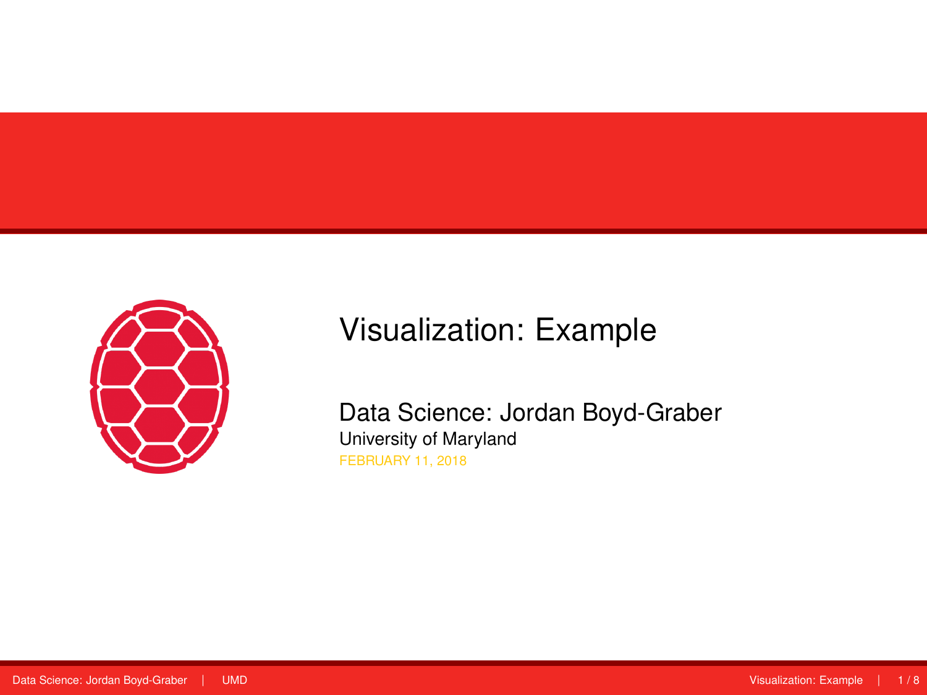<span id="page-0-0"></span>

# Visualization: Example

Data Science: Jordan Boyd-Graber University of Maryland FEBRUARY 11, 2018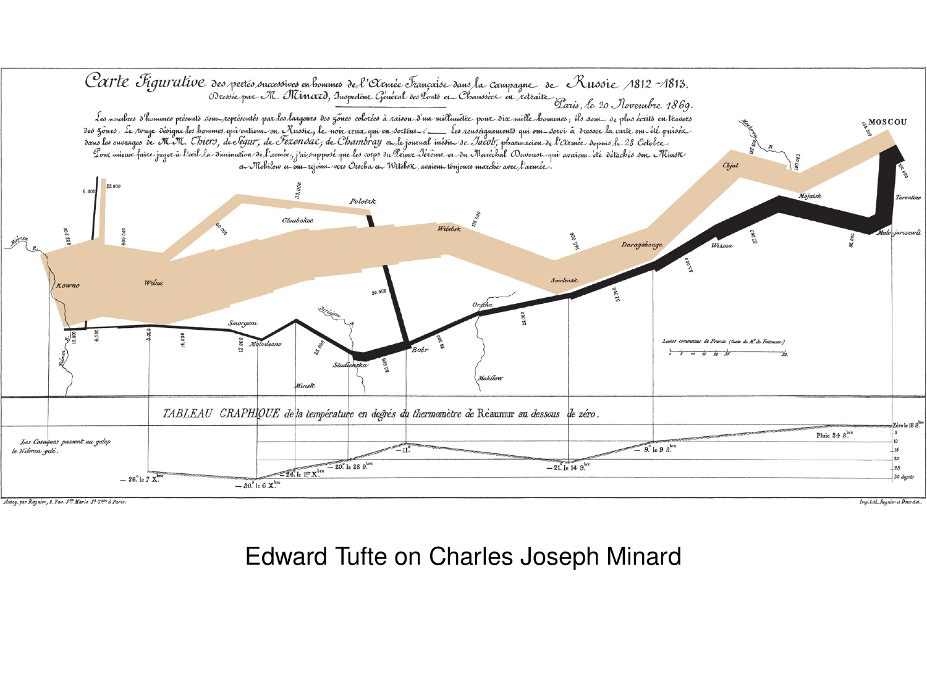

# Edward Tufte on Charles Joseph Minard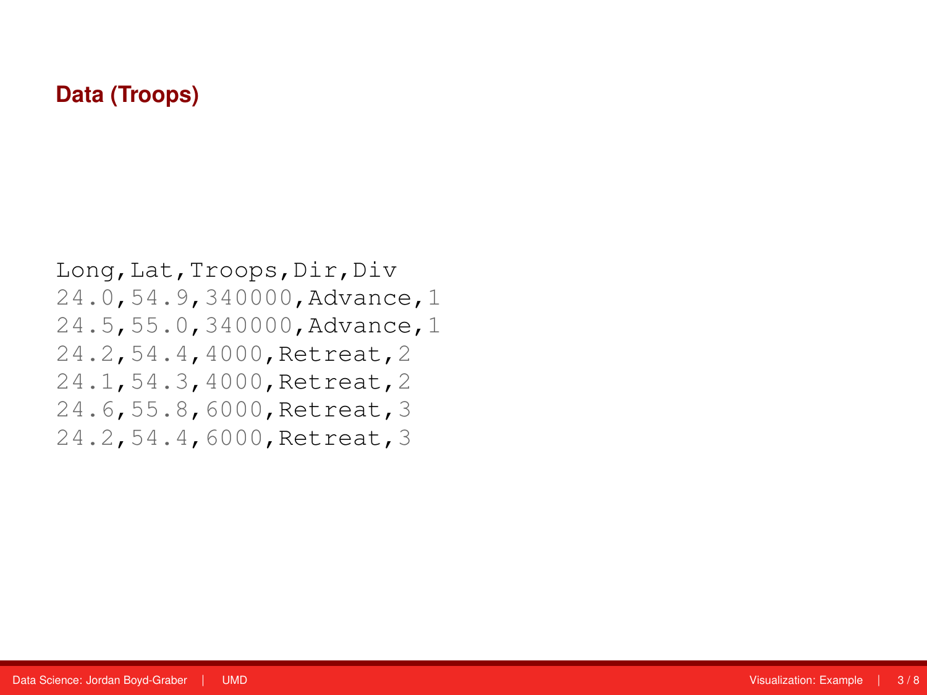### **Data (Troops)**

Long,Lat,Troops,Dir,Div 24.0,54.9,340000,Advance,1 24.5,55.0,340000,Advance,1 24.2,54.4,4000,Retreat,2 24.1,54.3,4000,Retreat,2 24.6,55.8,6000,Retreat,3 24.2,54.4,6000,Retreat,3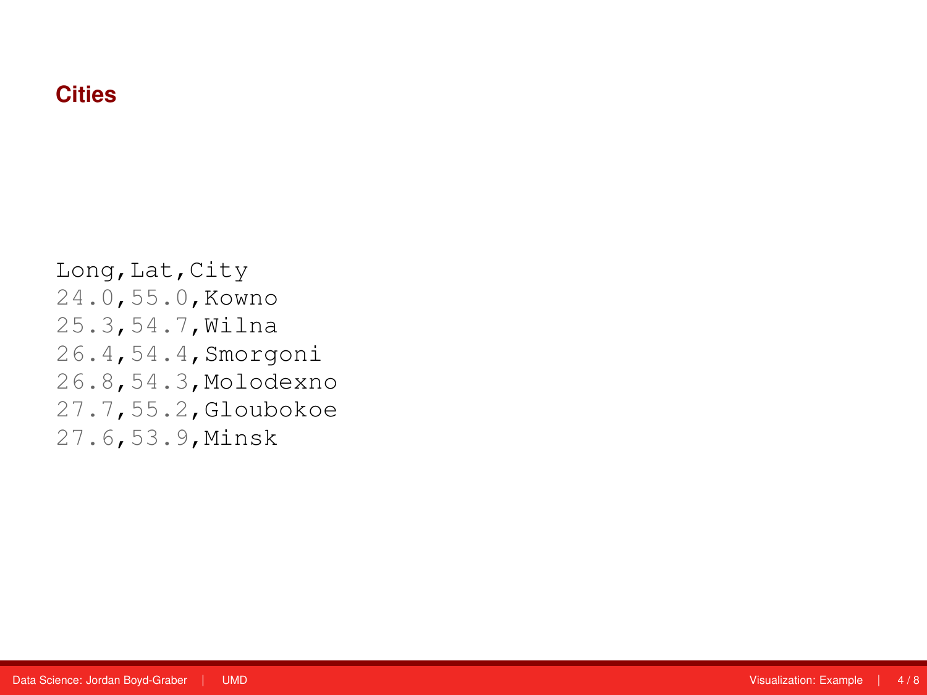# **Cities**

Long, Lat, City 24.0,55.0,Kowno 25.3,54.7,Wilna 26.4,54.4,Smorgoni 26.8,54.3,Molodexno 27.7,55.2,Gloubokoe 27.6,53.9,Minsk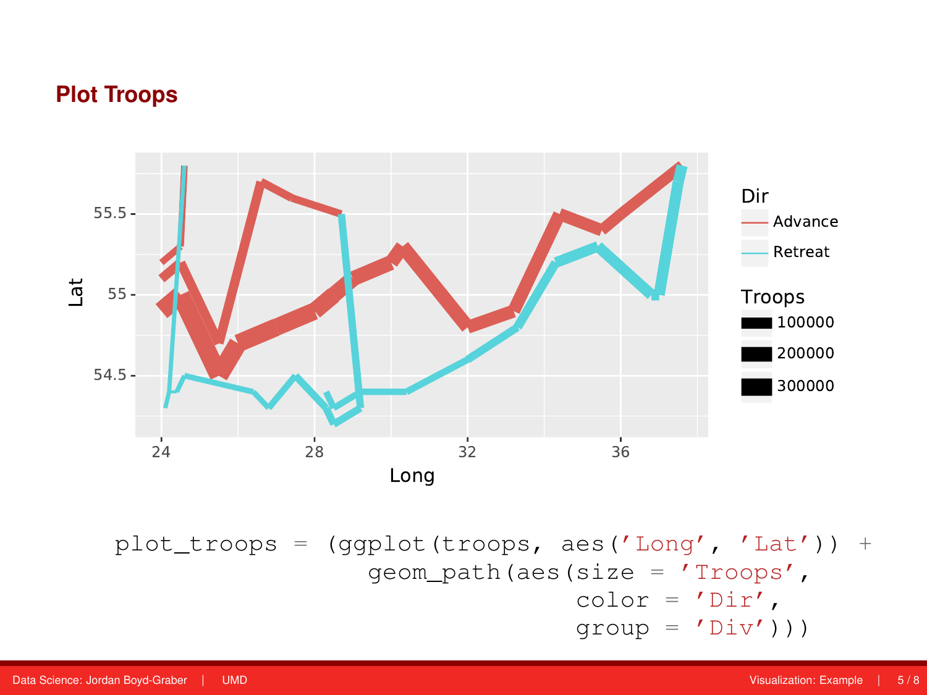#### **Plot Troops**



plot\_troops = (ggplot(troops, aes('Long', 'Lat')) + geom\_path(aes(size = 'Troops',  $color = 'Dir',$  $group = 'Div')$ ))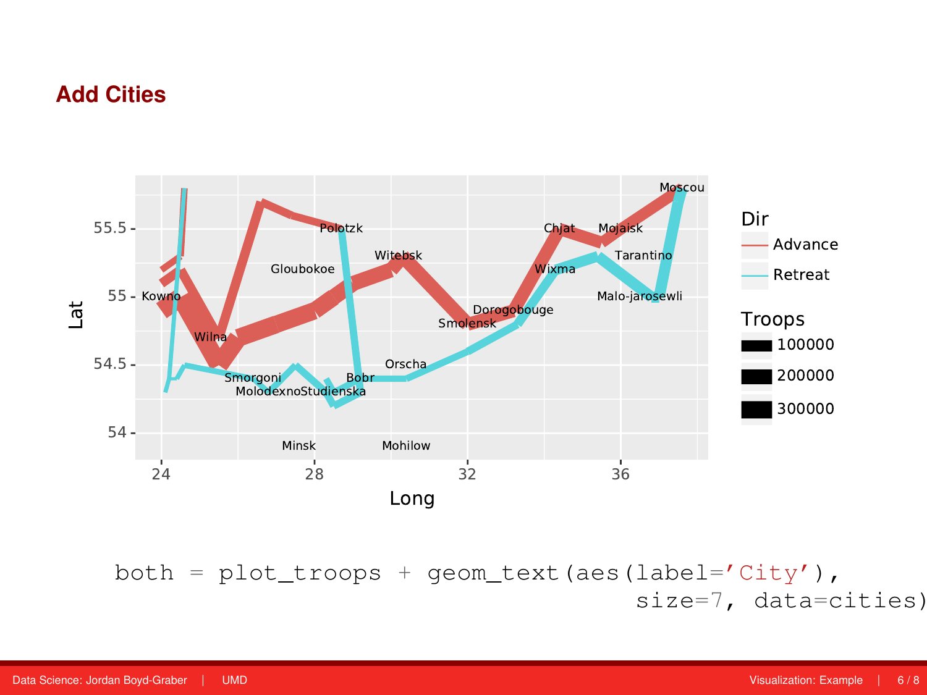# **Add Cities**



 $both = plot\_troops + geom\_text (aes(label='City'),$ size=7, data=cities)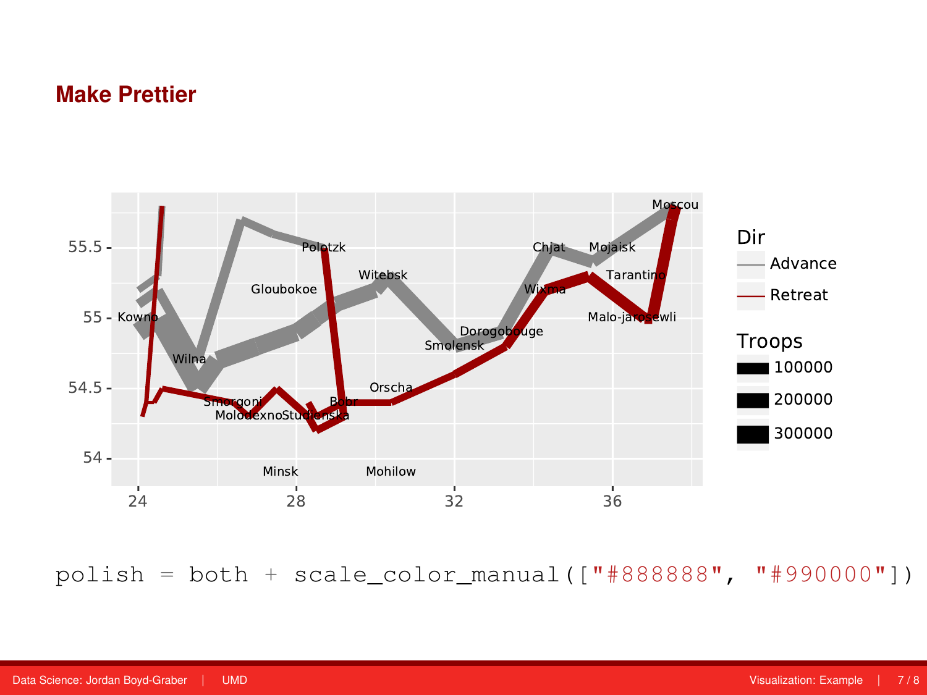# **Make Prettier**



polish = both + scale\_color\_manual( $["#888888", "#990000"]$ )